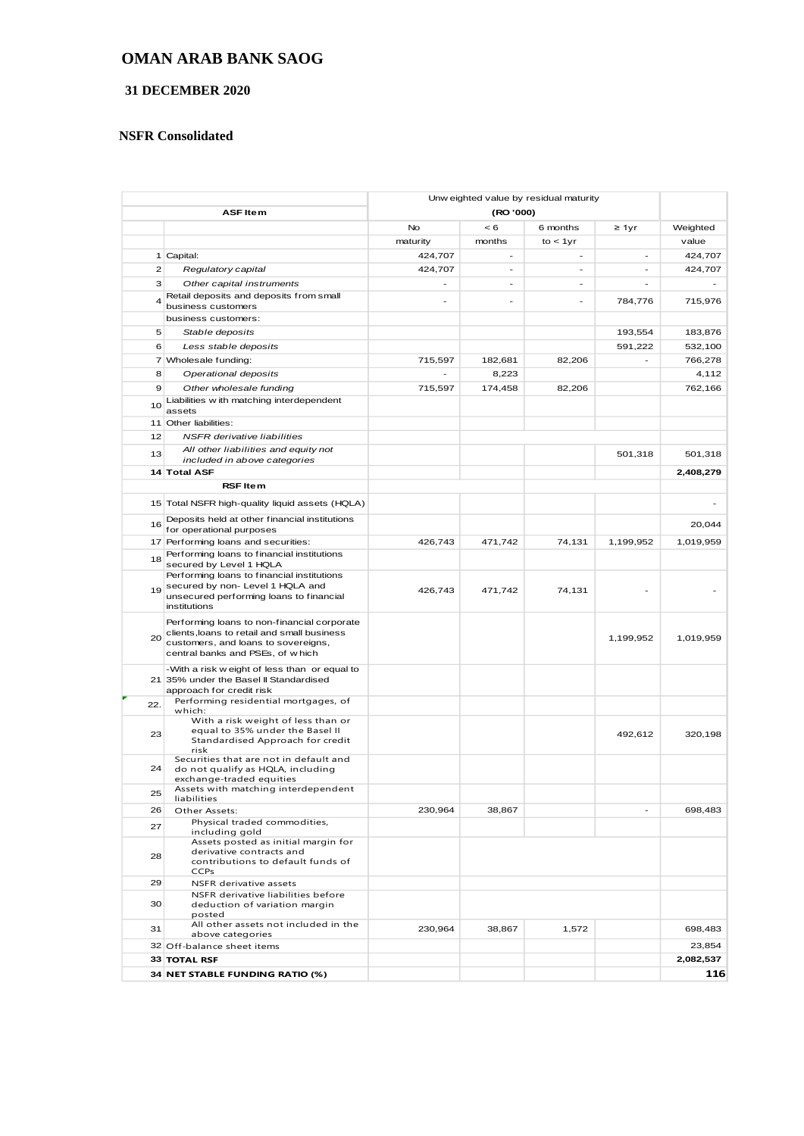### **OMAN ARAB BANK SAOG**

### **31 DECEMBER 2020**

#### **NSFR Consolidated**

|                 |                                                                           | Unw eighted value by residual maturity |         |          |                |           |
|-----------------|---------------------------------------------------------------------------|----------------------------------------|---------|----------|----------------|-----------|
| <b>ASF Item</b> |                                                                           | (RO '000)                              |         |          |                |           |
|                 |                                                                           | No                                     | < 6     | 6 months | $\geq 1$ yr    | Weighted  |
|                 |                                                                           | maturity                               | months  | to < 1yr |                | value     |
|                 | 1 Capital:                                                                | 424,707                                | -       |          |                | 424,707   |
| $\mathbf{Z}$    | Regulatory capital                                                        | 424,707                                | ÷.      | $\sim$   | $\overline{a}$ | 424,707   |
| 3               | Other capital instruments                                                 |                                        | ٠       |          |                |           |
| $\overline{4}$  | Retail deposits and deposits from small<br>business customers             |                                        |         |          | 784,776        | 715,976   |
|                 | business customers:                                                       |                                        |         |          |                |           |
| 5               | Stable deposits                                                           |                                        |         |          | 193,554        | 183,876   |
| 6               | Less stable deposits                                                      |                                        |         |          | 591,222        | 532,100   |
|                 | 7 Wholesale funding:                                                      | 715,597                                | 182,681 | 82,206   |                | 766,278   |
| 8               | Operational deposits                                                      |                                        | 8,223   |          |                | 4,112     |
| 9               | Other wholesale funding                                                   | 715,597                                | 174,458 | 82,206   |                | 762,166   |
|                 | Liabilities with matching interdependent                                  |                                        |         |          |                |           |
| 10              | assets                                                                    |                                        |         |          |                |           |
|                 | 11 Other liabilities:                                                     |                                        |         |          |                |           |
| 12              | <b>NSFR</b> derivative liabilities                                        |                                        |         |          |                |           |
| 13              | All other liabilities and equity not                                      |                                        |         |          | 501,318        | 501,318   |
|                 | included in above categories                                              |                                        |         |          |                |           |
|                 | 14 Total ASF                                                              |                                        |         |          |                | 2,408,279 |
|                 | <b>RSF Item</b>                                                           |                                        |         |          |                |           |
|                 | 15 Total NSFR high-quality liquid assets (HQLA)                           |                                        |         |          |                |           |
| 16              | Deposits held at other financial institutions<br>for operational purposes |                                        |         |          |                | 20,044    |
|                 | 17 Performing loans and securities:                                       | 426,743                                | 471,742 | 74,131   | 1,199,952      | 1,019,959 |
| 18              | Performing loans to financial institutions<br>secured by Level 1 HQLA     |                                        |         |          |                |           |
|                 | Performing loans to financial institutions                                |                                        |         |          |                |           |
| 19              | secured by non- Level 1 HQLA and                                          | 426,743                                | 471,742 | 74,131   |                |           |
|                 | unsecured performing loans to financial<br>institutions                   |                                        |         |          |                |           |
|                 | Performing loans to non-financial corporate                               |                                        |         |          |                |           |
|                 | clients, loans to retail and small business                               |                                        |         |          |                |           |
| 20              | customers, and loans to sovereigns,                                       |                                        |         |          | 1,199,952      | 1,019,959 |
|                 | central banks and PSEs, of which                                          |                                        |         |          |                |           |
|                 | -With a risk w eight of less than or equal to                             |                                        |         |          |                |           |
|                 | 21 35% under the Basel II Standardised<br>approach for credit risk        |                                        |         |          |                |           |
| 22.             | Performing residential mortgages, of                                      |                                        |         |          |                |           |
|                 | which:                                                                    |                                        |         |          |                |           |
|                 | With a risk weight of less than or<br>equal to 35% under the Basel II     |                                        |         |          |                |           |
| 23              | Standardised Approach for credit                                          |                                        |         |          | 492,612        | 320,198   |
|                 | risk<br>Securities that are not in default and                            |                                        |         |          |                |           |
| 24              | do not qualify as HQLA, including                                         |                                        |         |          |                |           |
|                 | exchange-traded equities                                                  |                                        |         |          |                |           |
| 25              | Assets with matching interdependent<br>liabilities                        |                                        |         |          |                |           |
| 26              | Other Assets:                                                             | 230,964                                | 38,867  |          |                | 698,483   |
| 27              | Physical traded commodities,<br>including gold                            |                                        |         |          |                |           |
|                 | Assets posted as initial margin for                                       |                                        |         |          |                |           |
| 28              | derivative contracts and<br>contributions to default funds of             |                                        |         |          |                |           |
|                 | <b>CCPs</b>                                                               |                                        |         |          |                |           |
| 29              | NSFR derivative assets                                                    |                                        |         |          |                |           |
|                 | NSFR derivative liabilities before                                        |                                        |         |          |                |           |
| 30              | deduction of variation margin<br>posted                                   |                                        |         |          |                |           |
| 31              | All other assets not included in the                                      | 230,964                                | 38,867  | 1,572    |                | 698,483   |
|                 | above categories<br>32 Off-balance sheet items                            |                                        |         |          |                | 23,854    |
|                 | <b>33 TOTAL RSF</b>                                                       |                                        |         |          |                | 2,082,537 |
|                 |                                                                           |                                        |         |          |                |           |
|                 | 34 NET STABLE FUNDING RATIO (%)                                           |                                        |         |          |                | 116       |